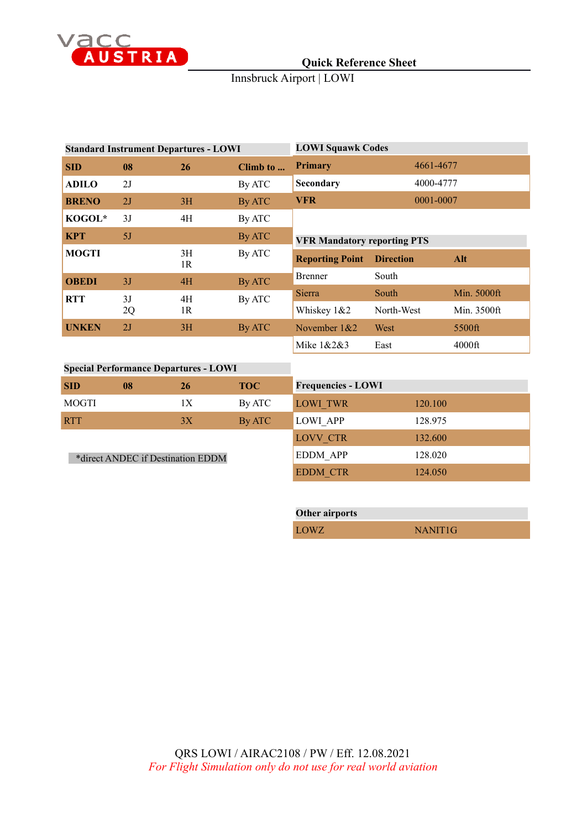

# **Quick Reference Sheet**

### Innsbruck Airport | LOWI

| <b>Standard Instrument Departures - LOWI</b> |    |          |          | <b>LOWI Squawk Codes</b>           |                  |             |
|----------------------------------------------|----|----------|----------|------------------------------------|------------------|-------------|
| <b>SID</b>                                   | 08 | 26       | Climb to | <b>Primary</b>                     | 4661-4677        |             |
| <b>ADILO</b>                                 | 2J |          | By ATC   | Secondary                          | 4000-4777        |             |
| <b>BRENO</b>                                 | 2J | 3H       | By ATC   | <b>VFR</b>                         | 0001-0007        |             |
| KOGOL*                                       | 3J | 4H       | By ATC   |                                    |                  |             |
| <b>KPT</b>                                   | 5J |          | By ATC   | <b>VFR Mandatory reporting PTS</b> |                  |             |
| <b>MOGTI</b>                                 |    | 3H<br>1R | By ATC   | <b>Reporting Point</b>             | <b>Direction</b> | Alt         |
| <b>OBEDI</b>                                 | 3J | 4H       | By ATC   | <b>Brenner</b>                     | South            |             |
| <b>RTT</b>                                   | 3J | 4H       | By ATC   | Sierra                             | South            | Min. 5000ft |
|                                              | 2Q | 1R       |          | Whiskey 1&2                        | North-West       | Min. 3500ft |
| <b>UNKEN</b>                                 | 2J | 3H       | By ATC   | November $1&2$                     | West             | 5500ft      |
|                                              |    |          |          | Mike 1&2&3                         | East             | $4000$ ft   |

#### **Special Performance Departures - LOWI SID 08 26 TOC** MOGTI 1X By ATC RTT 3X By ATC \*direct ANDEC if Destination EDDM **Frequencies - LOWI** LOWI\_TWR 120.100 LOWI\_APP 128.975 LOVV\_CTR 132.600 EDDM\_APP 128.020

| <b>Other airports</b> |                     |
|-----------------------|---------------------|
| LOWZ                  | NANIT <sub>1G</sub> |

EDDM\_CTR 124.050